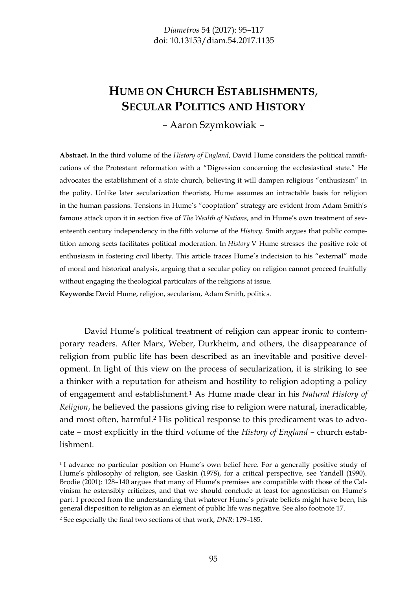# **HUME ON CHURCH ESTABLISHMENTS**, **SECULAR POLITICS AND HISTORY**

– Aaron Szymkowiak –

**Abstract.** In the third volume of the *History of England*, David Hume considers the political ramifications of the Protestant reformation with a "Digression concerning the ecclesiastical state." He advocates the establishment of a state church, believing it will dampen religious "enthusiasm" in the polity. Unlike later secularization theorists, Hume assumes an intractable basis for religion in the human passions. Tensions in Hume's "cooptation" strategy are evident from Adam Smith's famous attack upon it in section five of *The Wealth of Nations*, and in Hume's own treatment of seventeenth century independency in the fifth volume of the *History*. Smith argues that public competition among sects facilitates political moderation. In *History* V Hume stresses the positive role of enthusiasm in fostering civil liberty. This article traces Hume's indecision to his "external" mode of moral and historical analysis, arguing that a secular policy on religion cannot proceed fruitfully without engaging the theological particulars of the religions at issue. **Keywords:** David Hume, religion, secularism, Adam Smith, politics.

David Hume's political treatment of religion can appear ironic to contemporary readers. After Marx, Weber, Durkheim, and others, the disappearance of religion from public life has been described as an inevitable and positive development. In light of this view on the process of secularization, it is striking to see a thinker with a reputation for atheism and hostility to religion adopting a policy of engagement and establishment.1 As Hume made clear in his *Natural History of Religion*, he believed the passions giving rise to religion were natural, ineradicable, and most often, harmful.2 His political response to this predicament was to advocate – most explicitly in the third volume of the *History of England* – church establishment.

<sup>1</sup> I advance no particular position on Hume's own belief here. For a generally positive study of Hume's philosophy of religion, see Gaskin (1978), for a critical perspective, see Yandell (1990). Brodie (2001): 128–140 argues that many of Hume's premises are compatible with those of the Calvinism he ostensibly criticizes, and that we should conclude at least for agnosticism on Hume's part. I proceed from the understanding that whatever Hume's private beliefs might have been, his general disposition to religion as an element of public life was negative. See also footnote 17.

<sup>2</sup> See especially the final two sections of that work, *DNR*: 179–185.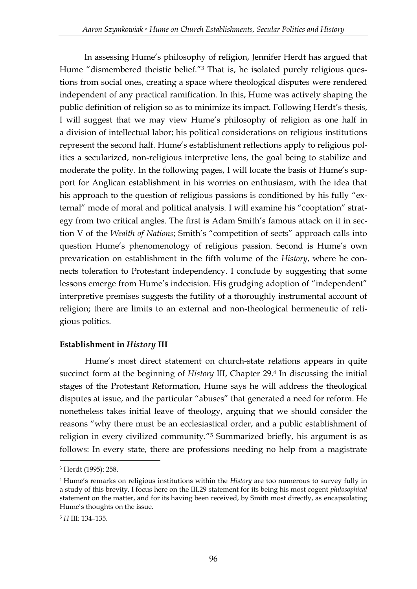In assessing Hume's philosophy of religion, Jennifer Herdt has argued that Hume "dismembered theistic belief."<sup>3</sup> That is, he isolated purely religious questions from social ones, creating a space where theological disputes were rendered independent of any practical ramification. In this, Hume was actively shaping the public definition of religion so as to minimize its impact. Following Herdt's thesis, I will suggest that we may view Hume's philosophy of religion as one half in a division of intellectual labor; his political considerations on religious institutions represent the second half. Hume's establishment reflections apply to religious politics a secularized, non-religious interpretive lens, the goal being to stabilize and moderate the polity. In the following pages, I will locate the basis of Hume's support for Anglican establishment in his worries on enthusiasm, with the idea that his approach to the question of religious passions is conditioned by his fully "external" mode of moral and political analysis. I will examine his "cooptation" strategy from two critical angles. The first is Adam Smith's famous attack on it in section V of the *Wealth of Nations*; Smith's "competition of sects" approach calls into question Hume's phenomenology of religious passion. Second is Hume's own prevarication on establishment in the fifth volume of the *History*, where he connects toleration to Protestant independency. I conclude by suggesting that some lessons emerge from Hume's indecision. His grudging adoption of "independent" interpretive premises suggests the futility of a thoroughly instrumental account of religion; there are limits to an external and non-theological hermeneutic of religious politics.

## **Establishment in** *History* **III**

Hume's most direct statement on church-state relations appears in quite succinct form at the beginning of *History* III, Chapter 29.<sup>4</sup> In discussing the initial stages of the Protestant Reformation, Hume says he will address the theological disputes at issue, and the particular "abuses" that generated a need for reform. He nonetheless takes initial leave of theology, arguing that we should consider the reasons "why there must be an ecclesiastical order, and a public establishment of religion in every civilized community."<sup>5</sup> Summarized briefly, his argument is as follows: In every state, there are professions needing no help from a magistrate

<sup>3</sup> Herdt (1995): 258.

<sup>4</sup> Hume's remarks on religious institutions within the *History* are too numerous to survey fully in a study of this brevity. I focus here on the III.29 statement for its being his most cogent *philosophical* statement on the matter, and for its having been received, by Smith most directly, as encapsulating Hume's thoughts on the issue.

<sup>5</sup> *H* III: 134–135.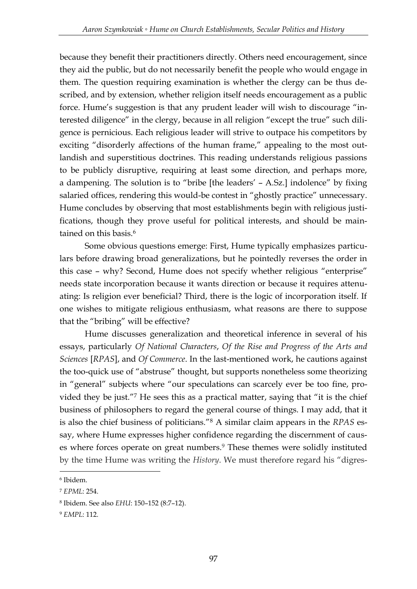because they benefit their practitioners directly. Others need encouragement, since they aid the public, but do not necessarily benefit the people who would engage in them. The question requiring examination is whether the clergy can be thus described, and by extension, whether religion itself needs encouragement as a public force. Hume's suggestion is that any prudent leader will wish to discourage "interested diligence" in the clergy, because in all religion "except the true" such diligence is pernicious. Each religious leader will strive to outpace his competitors by exciting "disorderly affections of the human frame," appealing to the most outlandish and superstitious doctrines. This reading understands religious passions to be publicly disruptive, requiring at least some direction, and perhaps more, a dampening. The solution is to "bribe [the leaders' – A.Sz.] indolence" by fixing salaried offices, rendering this would-be contest in "ghostly practice" unnecessary. Hume concludes by observing that most establishments begin with religious justifications, though they prove useful for political interests, and should be maintained on this basis.<sup>6</sup>

Some obvious questions emerge: First, Hume typically emphasizes particulars before drawing broad generalizations, but he pointedly reverses the order in this case – why? Second, Hume does not specify whether religious "enterprise" needs state incorporation because it wants direction or because it requires attenuating: Is religion ever beneficial? Third, there is the logic of incorporation itself. If one wishes to mitigate religious enthusiasm, what reasons are there to suppose that the "bribing" will be effective?

Hume discusses generalization and theoretical inference in several of his essays, particularly *Of National Characters*, *Of the Rise and Progress of the Arts and Sciences* [*RPAS*], and *Of Commerce*. In the last-mentioned work, he cautions against the too-quick use of "abstruse" thought, but supports nonetheless some theorizing in "general" subjects where "our speculations can scarcely ever be too fine, provided they be just."<sup>7</sup> He sees this as a practical matter, saying that "it is the chief business of philosophers to regard the general course of things. I may add, that it is also the chief business of politicians."<sup>8</sup> A similar claim appears in the *RPAS* essay, where Hume expresses higher confidence regarding the discernment of causes where forces operate on great numbers.<sup>9</sup> These themes were solidly instituted by the time Hume was writing the *History*. We must therefore regard his "digres-

<sup>6</sup> Ibidem.

<sup>7</sup> *EPML*: 254.

<sup>8</sup> Ibidem. See also *EHU*: 150–152 (8:7–12).

<sup>9</sup> *EMPL*: 112.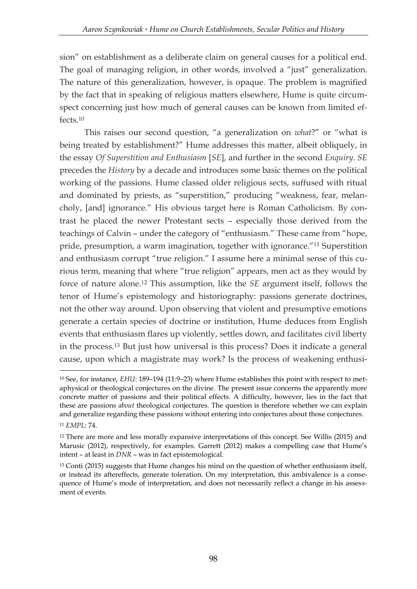sion" on establishment as a deliberate claim on general causes for a political end. The goal of managing religion, in other words, involved a "just" generalization. The nature of this generalization, however, is opaque. The problem is magnified by the fact that in speaking of religious matters elsewhere, Hume is quite circumspect concerning just how much of general causes can be known from limited effects 10

This raises our second question, "a generalization on *what*?" or "what is being treated by establishment?" Hume addresses this matter, albeit obliquely, in the essay *Of Superstition and Enthusiasm* [*SE*], and further in the second *Enquiry*. *SE*  precedes the *History* by a decade and introduces some basic themes on the political working of the passions. Hume classed older religious sects, suffused with ritual and dominated by priests, as "superstition," producing "weakness, fear, melancholy, [and] ignorance." His obvious target here is Roman Catholicism. By contrast he placed the newer Protestant sects – especially those derived from the teachings of Calvin – under the category of "enthusiasm." These came from "hope, pride, presumption, a warm imagination, together with ignorance."<sup>11</sup> Superstition and enthusiasm corrupt "true religion." I assume here a minimal sense of this curious term, meaning that where "true religion" appears, men act as they would by force of nature alone.<sup>12</sup> This assumption, like the *SE* argument itself, follows the tenor of Hume's epistemology and historiography: passions generate doctrines, not the other way around. Upon observing that violent and presumptive emotions generate a certain species of doctrine or institution, Hume deduces from English events that enthusiasm flares up violently, settles down, and facilitates civil liberty in the process.<sup>13</sup> But just how universal is this process? Does it indicate a general cause, upon which a magistrate may work? Is the process of weakening enthusi-

<sup>&</sup>lt;sup>10</sup> See, for instance, *EHU*: 189-194 (11:9-23) where Hume establishes this point with respect to metaphysical or theological conjectures on the divine. The present issue concerns the apparently more concrete matter of passions and their political effects. A difficulty, however, lies in the fact that these are passions *about* theological conjectures. The question is therefore whether we can explain and generalize regarding these passions without entering into conjectures about those conjectures. <sup>11</sup> *EMPL*: 74.

<sup>&</sup>lt;sup>12</sup> There are more and less morally expansive interpretations of this concept. See Willis (2015) and Marusic (2012), respectively, for examples. Garrett (2012) makes a compelling case that Hume's intent – at least in *DNR* – was in fact epistemological.

 $13$  Conti (2015) suggests that Hume changes his mind on the question of whether enthusiasm itself, or instead its aftereffects, generate toleration. On my interpretation, this ambivalence is a consequence of Hume's mode of interpretation, and does not necessarily reflect a change in his assessment of events.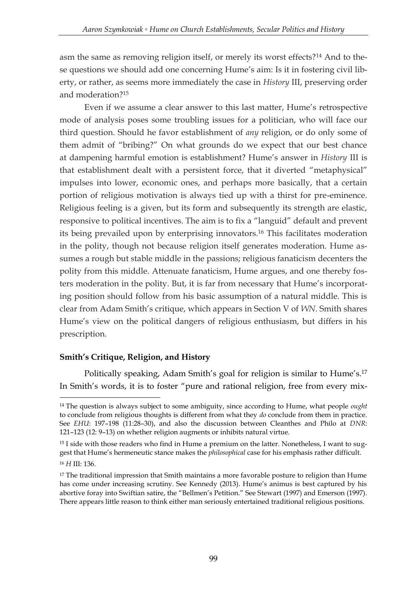asm the same as removing religion itself, or merely its worst effects?<sup>14</sup> And to these questions we should add one concerning Hume's aim: Is it in fostering civil liberty, or rather, as seems more immediately the case in *History* III, preserving order and moderation?<sup>15</sup>

Even if we assume a clear answer to this last matter, Hume's retrospective mode of analysis poses some troubling issues for a politician, who will face our third question. Should he favor establishment of *any* religion, or do only some of them admit of "bribing?" On what grounds do we expect that our best chance at dampening harmful emotion is establishment? Hume's answer in *History* III is that establishment dealt with a persistent force, that it diverted "metaphysical" impulses into lower, economic ones, and perhaps more basically, that a certain portion of religious motivation is always tied up with a thirst for pre-eminence. Religious feeling is a given, but its form and subsequently its strength are elastic, responsive to political incentives. The aim is to fix a "languid" default and prevent its being prevailed upon by enterprising innovators.<sup>16</sup> This facilitates moderation in the polity, though not because religion itself generates moderation. Hume assumes a rough but stable middle in the passions; religious fanaticism decenters the polity from this middle. Attenuate fanaticism, Hume argues, and one thereby fosters moderation in the polity. But, it is far from necessary that Hume's incorporating position should follow from his basic assumption of a natural middle. This is clear from Adam Smith's critique, which appears in Section V of *WN*. Smith shares Hume's view on the political dangers of religious enthusiasm, but differs in his prescription.

### **Smith's Critique, Religion, and History**

<u>.</u>

Politically speaking, Adam Smith's goal for religion is similar to Hume's. 17 In Smith's words, it is to foster "pure and rational religion, free from every mix-

<sup>14</sup> The question is always subject to some ambiguity, since according to Hume, what people *ought* to conclude from religious thoughts is different from what they *do* conclude from them in practice. See *EHU*: 197–198 (11:28–30), and also the discussion between Cleanthes and Philo at *DNR*: 121–123 (12: 9–13) on whether religion augments or inhibits natural virtue.

<sup>&</sup>lt;sup>15</sup> I side with those readers who find in Hume a premium on the latter. Nonetheless, I want to suggest that Hume's hermeneutic stance makes the *philosophical* case for his emphasis rather difficult. <sup>16</sup> *H* III: 136.

<sup>&</sup>lt;sup>17</sup> The traditional impression that Smith maintains a more favorable posture to religion than Hume has come under increasing scrutiny. See Kennedy (2013). Hume's animus is best captured by his abortive foray into Swiftian satire, the "Bellmen's Petition." See Stewart (1997) and Emerson (1997). There appears little reason to think either man seriously entertained traditional religious positions.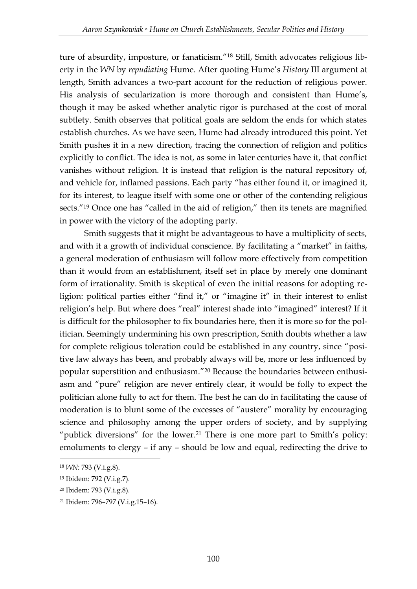ture of absurdity, imposture, or fanaticism."<sup>18</sup> Still, Smith advocates religious liberty in the *WN* by *repudiating* Hume. After quoting Hume's *History* III argument at length, Smith advances a two-part account for the reduction of religious power. His analysis of secularization is more thorough and consistent than Hume's, though it may be asked whether analytic rigor is purchased at the cost of moral subtlety. Smith observes that political goals are seldom the ends for which states establish churches. As we have seen, Hume had already introduced this point. Yet Smith pushes it in a new direction, tracing the connection of religion and politics explicitly to conflict. The idea is not, as some in later centuries have it, that conflict vanishes without religion. It is instead that religion is the natural repository of, and vehicle for, inflamed passions. Each party "has either found it, or imagined it, for its interest, to league itself with some one or other of the contending religious sects."<sup>19</sup> Once one has "called in the aid of religion," then its tenets are magnified in power with the victory of the adopting party.

Smith suggests that it might be advantageous to have a multiplicity of sects, and with it a growth of individual conscience. By facilitating a "market" in faiths, a general moderation of enthusiasm will follow more effectively from competition than it would from an establishment, itself set in place by merely one dominant form of irrationality. Smith is skeptical of even the initial reasons for adopting religion: political parties either "find it," or "imagine it" in their interest to enlist religion's help. But where does "real" interest shade into "imagined" interest? If it is difficult for the philosopher to fix boundaries here, then it is more so for the politician. Seemingly undermining his own prescription, Smith doubts whether a law for complete religious toleration could be established in any country, since "positive law always has been, and probably always will be, more or less influenced by popular superstition and enthusiasm."<sup>20</sup> Because the boundaries between enthusiasm and "pure" religion are never entirely clear, it would be folly to expect the politician alone fully to act for them. The best he can do in facilitating the cause of moderation is to blunt some of the excesses of "austere" morality by encouraging science and philosophy among the upper orders of society, and by supplying "publick diversions" for the lower. <sup>21</sup> There is one more part to Smith's policy: emoluments to clergy – if any – should be low and equal, redirecting the drive to

<sup>18</sup> *WN*: 793 (V.i.g.8).

<sup>19</sup> Ibidem: 792 (V.i.g.7).

<sup>20</sup> Ibidem: 793 (V.i.g.8).

<sup>21</sup> Ibidem: 796–797 (V.i.g.15–16).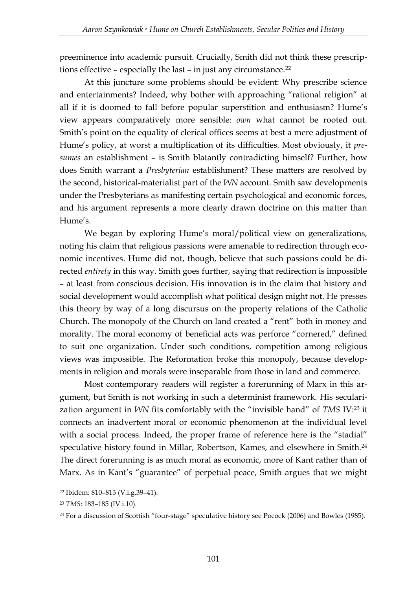preeminence into academic pursuit. Crucially, Smith did not think these prescriptions effective – especially the last – in just any circumstance.<sup>22</sup>

At this juncture some problems should be evident: Why prescribe science and entertainments? Indeed, why bother with approaching "rational religion" at all if it is doomed to fall before popular superstition and enthusiasm? Hume's view appears comparatively more sensible: *own* what cannot be rooted out. Smith's point on the equality of clerical offices seems at best a mere adjustment of Hume's policy, at worst a multiplication of its difficulties. Most obviously, it *presumes* an establishment – is Smith blatantly contradicting himself? Further, how does Smith warrant a *Presbyterian* establishment? These matters are resolved by the second, historical-materialist part of the *WN* account. Smith saw developments under the Presbyterians as manifesting certain psychological and economic forces, and his argument represents a more clearly drawn doctrine on this matter than Hume's.

We began by exploring Hume's moral/political view on generalizations, noting his claim that religious passions were amenable to redirection through economic incentives. Hume did not, though, believe that such passions could be directed *entirely* in this way. Smith goes further, saying that redirection is impossible – at least from conscious decision. His innovation is in the claim that history and social development would accomplish what political design might not. He presses this theory by way of a long discursus on the property relations of the Catholic Church. The monopoly of the Church on land created a "rent" both in money and morality. The moral economy of beneficial acts was perforce "cornered," defined to suit one organization. Under such conditions, competition among religious views was impossible. The Reformation broke this monopoly, because developments in religion and morals were inseparable from those in land and commerce.

Most contemporary readers will register a forerunning of Marx in this argument, but Smith is not working in such a determinist framework. His secularization argument in *WN* fits comfortably with the "invisible hand" of *TMS* IV: <sup>23</sup> it connects an inadvertent moral or economic phenomenon at the individual level with a social process. Indeed, the proper frame of reference here is the "stadial" speculative history found in Millar, Robertson, Kames, and elsewhere in Smith.<sup>24</sup> The direct forerunning is as much moral as economic, more of Kant rather than of Marx. As in Kant's "guarantee" of perpetual peace, Smith argues that we might

<sup>22</sup> Ibidem: 810–813 (V.i.g.39–41).

<sup>23</sup> *TMS*: 183–185 (IV.i.10).

<sup>24</sup> For a discussion of Scottish "four-stage" speculative history see Pocock (2006) and Bowles (1985).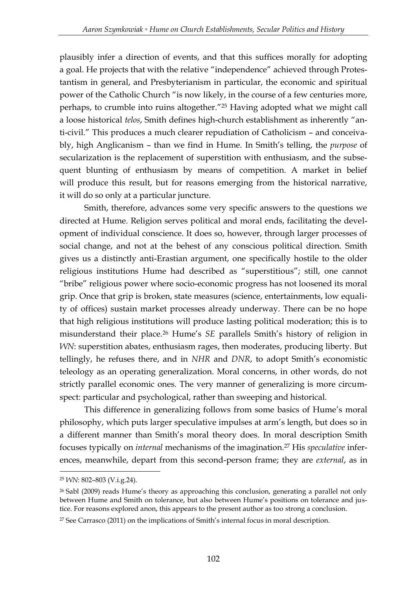plausibly infer a direction of events, and that this suffices morally for adopting a goal. He projects that with the relative "independence" achieved through Protestantism in general, and Presbyterianism in particular, the economic and spiritual power of the Catholic Church "is now likely, in the course of a few centuries more, perhaps, to crumble into ruins altogether."<sup>25</sup> Having adopted what we might call a loose historical *telos*, Smith defines high-church establishment as inherently "anti-civil." This produces a much clearer repudiation of Catholicism – and conceivably, high Anglicanism – than we find in Hume. In Smith's telling, the *purpose* of secularization is the replacement of superstition with enthusiasm, and the subsequent blunting of enthusiasm by means of competition. A market in belief will produce this result, but for reasons emerging from the historical narrative, it will do so only at a particular juncture.

Smith, therefore, advances some very specific answers to the questions we directed at Hume. Religion serves political and moral ends, facilitating the development of individual conscience. It does so, however, through larger processes of social change, and not at the behest of any conscious political direction. Smith gives us a distinctly anti-Erastian argument, one specifically hostile to the older religious institutions Hume had described as "superstitious"; still, one cannot "bribe" religious power where socio-economic progress has not loosened its moral grip. Once that grip is broken, state measures (science, entertainments, low equality of offices) sustain market processes already underway. There can be no hope that high religious institutions will produce lasting political moderation; this is to misunderstand their place.<sup>26</sup> Hume's *SE* parallels Smith's history of religion in *WN*: superstition abates, enthusiasm rages, then moderates, producing liberty. But tellingly, he refuses there, and in *NHR* and *DNR*, to adopt Smith's economistic teleology as an operating generalization. Moral concerns, in other words, do not strictly parallel economic ones. The very manner of generalizing is more circumspect: particular and psychological, rather than sweeping and historical.

This difference in generalizing follows from some basics of Hume's moral philosophy, which puts larger speculative impulses at arm's length, but does so in a different manner than Smith's moral theory does. In moral description Smith focuses typically on *internal* mechanisms of the imagination.<sup>27</sup> His *speculative* inferences, meanwhile, depart from this second-person frame; they are *external*, as in

<sup>25</sup> *WN*: 802–803 (V.i.g.24).

<sup>26</sup> Sabl (2009) reads Hume's theory as approaching this conclusion, generating a parallel not only between Hume and Smith on tolerance, but also between Hume's positions on tolerance and justice. For reasons explored anon, this appears to the present author as too strong a conclusion.

<sup>27</sup> See Carrasco (2011) on the implications of Smith's internal focus in moral description.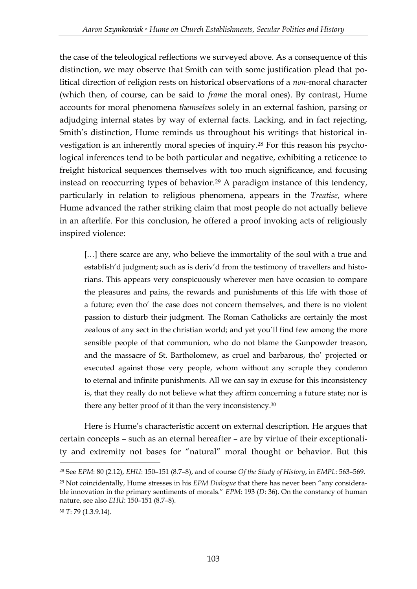the case of the teleological reflections we surveyed above. As a consequence of this distinction, we may observe that Smith can with some justification plead that political direction of religion rests on historical observations of a *non*-moral character (which then, of course, can be said to *frame* the moral ones). By contrast, Hume accounts for moral phenomena *themselves* solely in an external fashion, parsing or adjudging internal states by way of external facts. Lacking, and in fact rejecting, Smith's distinction, Hume reminds us throughout his writings that historical investigation is an inherently moral species of inquiry.<sup>28</sup> For this reason his psychological inferences tend to be both particular and negative, exhibiting a reticence to freight historical sequences themselves with too much significance, and focusing instead on reoccurring types of behavior.<sup>29</sup> A paradigm instance of this tendency, particularly in relation to religious phenomena, appears in the *Treatise*, where Hume advanced the rather striking claim that most people do not actually believe in an afterlife. For this conclusion, he offered a proof invoking acts of religiously inspired violence:

[...] there scarce are any, who believe the immortality of the soul with a true and establish'd judgment; such as is deriv'd from the testimony of travellers and historians. This appears very conspicuously wherever men have occasion to compare the pleasures and pains, the rewards and punishments of this life with those of a future; even tho' the case does not concern themselves, and there is no violent passion to disturb their judgment. The Roman Catholicks are certainly the most zealous of any sect in the christian world; and yet you'll find few among the more sensible people of that communion, who do not blame the Gunpowder treason, and the massacre of St. Bartholomew, as cruel and barbarous, tho' projected or executed against those very people, whom without any scruple they condemn to eternal and infinite punishments. All we can say in excuse for this inconsistency is, that they really do not believe what they affirm concerning a future state; nor is there any better proof of it than the very inconsistency.<sup>30</sup>

Here is Hume's characteristic accent on external description. He argues that certain concepts – such as an eternal hereafter – are by virtue of their exceptionality and extremity not bases for "natural" moral thought or behavior. But this

<sup>28</sup> See *EPM*: 80 (2.12), *EHU*: 150–151 (8.7–8), and of course *Of the Study of History*, in *EMPL*: 563–569.

<sup>29</sup> Not coincidentally, Hume stresses in his *EPM Dialogue* that there has never been "any considerable innovation in the primary sentiments of morals." *EPM*: 193 (*D*: 36). On the constancy of human nature, see also *EHU*: 150–151 (8.7–8).

<sup>30</sup> *T*: 79 (1.3.9.14).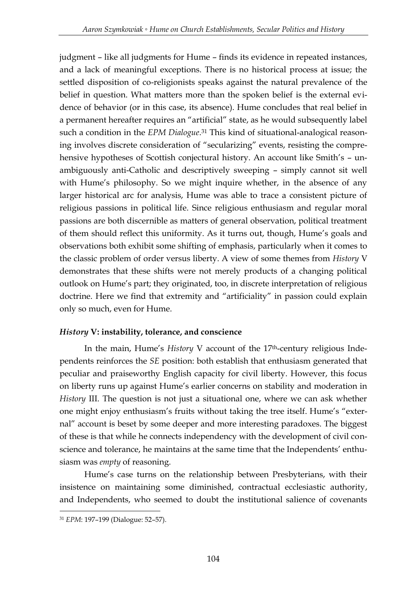judgment – like all judgments for Hume – finds its evidence in repeated instances, and a lack of meaningful exceptions. There is no historical process at issue; the settled disposition of co-religionists speaks against the natural prevalence of the belief in question. What matters more than the spoken belief is the external evidence of behavior (or in this case, its absence). Hume concludes that real belief in a permanent hereafter requires an "artificial" state, as he would subsequently label such a condition in the *EPM Dialogue*. <sup>31</sup> This kind of situational-analogical reasoning involves discrete consideration of "secularizing" events, resisting the comprehensive hypotheses of Scottish conjectural history. An account like Smith's - unambiguously anti-Catholic and descriptively sweeping – simply cannot sit well with Hume's philosophy. So we might inquire whether, in the absence of any larger historical arc for analysis, Hume was able to trace a consistent picture of religious passions in political life. Since religious enthusiasm and regular moral passions are both discernible as matters of general observation, political treatment of them should reflect this uniformity. As it turns out, though, Hume's goals and observations both exhibit some shifting of emphasis, particularly when it comes to the classic problem of order versus liberty. A view of some themes from *History* V demonstrates that these shifts were not merely products of a changing political outlook on Hume's part; they originated, too, in discrete interpretation of religious doctrine. Here we find that extremity and "artificiality" in passion could explain only so much, even for Hume.

### *History* **V: instability, tolerance, and conscience**

In the main, Hume's *History* V account of the 17<sup>th</sup>-century religious Independents reinforces the *SE* position: both establish that enthusiasm generated that peculiar and praiseworthy English capacity for civil liberty. However, this focus on liberty runs up against Hume's earlier concerns on stability and moderation in *History* III. The question is not just a situational one, where we can ask whether one might enjoy enthusiasm's fruits without taking the tree itself. Hume's "external" account is beset by some deeper and more interesting paradoxes. The biggest of these is that while he connects independency with the development of civil conscience and tolerance, he maintains at the same time that the Independents' enthusiasm was *empty* of reasoning.

Hume's case turns on the relationship between Presbyterians, with their insistence on maintaining some diminished, contractual ecclesiastic authority, and Independents, who seemed to doubt the institutional salience of covenants

<sup>-</sup><sup>31</sup> *EPM*: 197–199 (Dialogue: 52–57).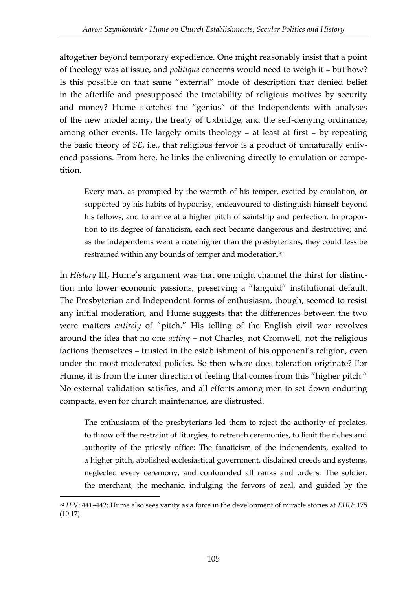altogether beyond temporary expedience. One might reasonably insist that a point of theology was at issue, and *politique* concerns would need to weigh it – but how? Is this possible on that same "external" mode of description that denied belief in the afterlife and presupposed the tractability of religious motives by security and money? Hume sketches the "genius" of the Independents with analyses of the new model army, the treaty of Uxbridge, and the self-denying ordinance, among other events. He largely omits theology – at least at first – by repeating the basic theory of *SE*, i.e., that religious fervor is a product of unnaturally enlivened passions. From here, he links the enlivening directly to emulation or competition.

Every man, as prompted by the warmth of his temper, excited by emulation, or supported by his habits of hypocrisy, endeavoured to distinguish himself beyond his fellows, and to arrive at a higher pitch of saintship and perfection. In proportion to its degree of fanaticism, each sect became dangerous and destructive; and as the independents went a note higher than the presbyterians, they could less be restrained within any bounds of temper and moderation.<sup>32</sup>

In *History* III, Hume's argument was that one might channel the thirst for distinction into lower economic passions, preserving a "languid" institutional default. The Presbyterian and Independent forms of enthusiasm, though, seemed to resist any initial moderation, and Hume suggests that the differences between the two were matters *entirely* of "pitch." His telling of the English civil war revolves around the idea that no one *acting* – not Charles, not Cromwell, not the religious factions themselves – trusted in the establishment of his opponent's religion, even under the most moderated policies. So then where does toleration originate? For Hume, it is from the inner direction of feeling that comes from this "higher pitch." No external validation satisfies, and all efforts among men to set down enduring compacts, even for church maintenance, are distrusted.

The enthusiasm of the presbyterians led them to reject the authority of prelates, to throw off the restraint of liturgies, to retrench ceremonies, to limit the riches and authority of the priestly office: The fanaticism of the independents, exalted to a higher pitch, abolished ecclesiastical government, disdained creeds and systems, neglected every ceremony, and confounded all ranks and orders. The soldier, the merchant, the mechanic, indulging the fervors of zeal, and guided by the

<sup>32</sup> *H* V: 441–442; Hume also sees vanity as a force in the development of miracle stories at *EHU*: 175 (10.17).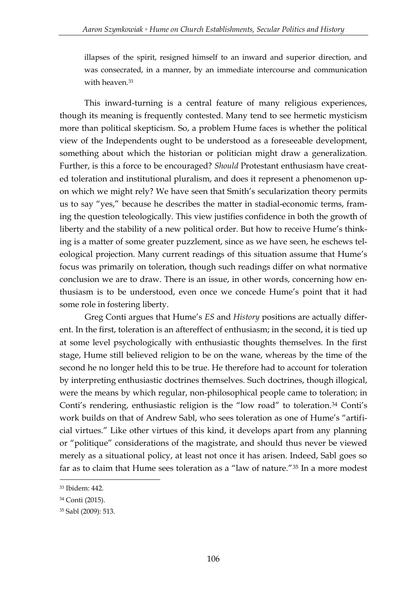illapses of the spirit, resigned himself to an inward and superior direction, and was consecrated, in a manner, by an immediate intercourse and communication with heaven.<sup>33</sup>

This inward-turning is a central feature of many religious experiences, though its meaning is frequently contested. Many tend to see hermetic mysticism more than political skepticism. So, a problem Hume faces is whether the political view of the Independents ought to be understood as a foreseeable development, something about which the historian or politician might draw a generalization. Further, is this a force to be encouraged? *Should* Protestant enthusiasm have created toleration and institutional pluralism, and does it represent a phenomenon upon which we might rely? We have seen that Smith's secularization theory permits us to say "yes," because he describes the matter in stadial-economic terms, framing the question teleologically. This view justifies confidence in both the growth of liberty and the stability of a new political order. But how to receive Hume's thinking is a matter of some greater puzzlement, since as we have seen, he eschews teleological projection. Many current readings of this situation assume that Hume's focus was primarily on toleration, though such readings differ on what normative conclusion we are to draw. There is an issue, in other words, concerning how enthusiasm is to be understood, even once we concede Hume's point that it had some role in fostering liberty.

Greg Conti argues that Hume's *ES* and *History* positions are actually different. In the first, toleration is an aftereffect of enthusiasm; in the second, it is tied up at some level psychologically with enthusiastic thoughts themselves. In the first stage, Hume still believed religion to be on the wane, whereas by the time of the second he no longer held this to be true. He therefore had to account for toleration by interpreting enthusiastic doctrines themselves. Such doctrines, though illogical, were the means by which regular, non-philosophical people came to toleration; in Conti's rendering, enthusiastic religion is the "low road" to toleration.<sup>34</sup> Conti's work builds on that of Andrew Sabl, who sees toleration as one of Hume's "artificial virtues." Like other virtues of this kind, it develops apart from any planning or "politique" considerations of the magistrate, and should thus never be viewed merely as a situational policy, at least not once it has arisen. Indeed, Sabl goes so far as to claim that Hume sees toleration as a "law of nature."<sup>35</sup> In a more modest

<sup>33</sup> Ibidem: 442.

<sup>34</sup> Conti (2015).

<sup>35</sup> Sabl (2009): 513.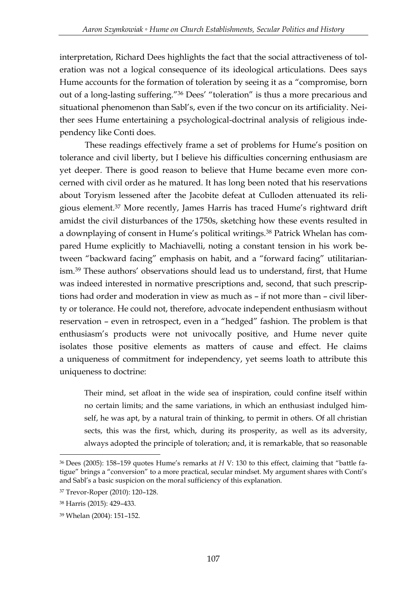interpretation, Richard Dees highlights the fact that the social attractiveness of toleration was not a logical consequence of its ideological articulations. Dees says Hume accounts for the formation of toleration by seeing it as a "compromise, born out of a long-lasting suffering."<sup>36</sup> Dees' "toleration" is thus a more precarious and situational phenomenon than Sabl's, even if the two concur on its artificiality. Neither sees Hume entertaining a psychological-doctrinal analysis of religious independency like Conti does.

These readings effectively frame a set of problems for Hume's position on tolerance and civil liberty, but I believe his difficulties concerning enthusiasm are yet deeper. There is good reason to believe that Hume became even more concerned with civil order as he matured. It has long been noted that his reservations about Toryism lessened after the Jacobite defeat at Culloden attenuated its religious element.<sup>37</sup> More recently, James Harris has traced Hume's rightward drift amidst the civil disturbances of the 1750s, sketching how these events resulted in a downplaying of consent in Hume's political writings.<sup>38</sup> Patrick Whelan has compared Hume explicitly to Machiavelli, noting a constant tension in his work between "backward facing" emphasis on habit, and a "forward facing" utilitarianism.<sup>39</sup> These authors' observations should lead us to understand, first, that Hume was indeed interested in normative prescriptions and, second, that such prescriptions had order and moderation in view as much as – if not more than – civil liberty or tolerance. He could not, therefore, advocate independent enthusiasm without reservation – even in retrospect, even in a "hedged" fashion. The problem is that enthusiasm's products were not univocally positive, and Hume never quite isolates those positive elements as matters of cause and effect. He claims a uniqueness of commitment for independency, yet seems loath to attribute this uniqueness to doctrine:

Their mind, set afloat in the wide sea of inspiration, could confine itself within no certain limits; and the same variations, in which an enthusiast indulged himself, he was apt, by a natural train of thinking, to permit in others. Of all christian sects, this was the first, which, during its prosperity, as well as its adversity, always adopted the principle of toleration; and, it is remarkable, that so reasonable

<sup>-</sup><sup>36</sup> Dees (2005): 158–159 quotes Hume's remarks at *H* V: 130 to this effect, claiming that "battle fatigue" brings a "conversion" to a more practical, secular mindset. My argument shares with Conti's and Sabl's a basic suspicion on the moral sufficiency of this explanation.

<sup>37</sup> Trevor-Roper (2010): 120–128.

<sup>38</sup> Harris (2015): 429–433.

<sup>39</sup> Whelan (2004): 151–152.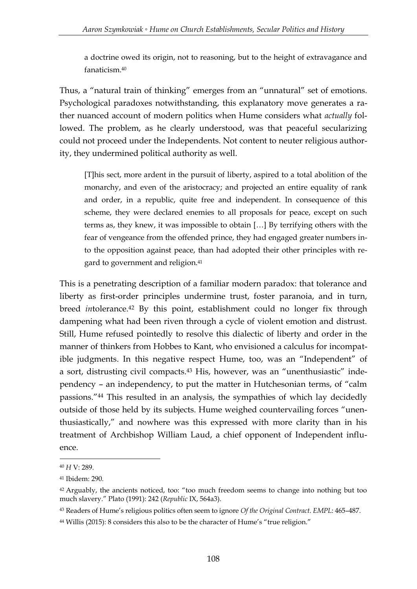a doctrine owed its origin, not to reasoning, but to the height of extravagance and fanaticism.<sup>40</sup>

Thus, a "natural train of thinking" emerges from an "unnatural" set of emotions. Psychological paradoxes notwithstanding, this explanatory move generates a rather nuanced account of modern politics when Hume considers what *actually* followed. The problem, as he clearly understood, was that peaceful secularizing could not proceed under the Independents. Not content to neuter religious authority, they undermined political authority as well.

[T]his sect, more ardent in the pursuit of liberty, aspired to a total abolition of the monarchy, and even of the aristocracy; and projected an entire equality of rank and order, in a republic, quite free and independent. In consequence of this scheme, they were declared enemies to all proposals for peace, except on such terms as, they knew, it was impossible to obtain […] By terrifying others with the fear of vengeance from the offended prince, they had engaged greater numbers into the opposition against peace, than had adopted their other principles with regard to government and religion.<sup>41</sup>

This is a penetrating description of a familiar modern paradox: that tolerance and liberty as first-order principles undermine trust, foster paranoia, and in turn, breed *intolerance*.<sup>42</sup> By this point, establishment could no longer fix through dampening what had been riven through a cycle of violent emotion and distrust. Still, Hume refused pointedly to resolve this dialectic of liberty and order in the manner of thinkers from Hobbes to Kant, who envisioned a calculus for incompatible judgments. In this negative respect Hume, too, was an "Independent" of a sort, distrusting civil compacts.<sup>43</sup> His, however, was an "unenthusiastic" independency – an independency, to put the matter in Hutchesonian terms, of "calm passions."<sup>44</sup> This resulted in an analysis, the sympathies of which lay decidedly outside of those held by its subjects. Hume weighed countervailing forces "unenthusiastically," and nowhere was this expressed with more clarity than in his treatment of Archbishop William Laud, a chief opponent of Independent influence.

<sup>40</sup> *H* V: 289.

<sup>41</sup> Ibidem: 290.

<sup>&</sup>lt;sup>42</sup> Arguably, the ancients noticed, too: "too much freedom seems to change into nothing but too much slavery." Plato (1991): 242 (*Republic* IX, 564a3).

<sup>43</sup> Readers of Hume's religious politics often seem to ignore *Of the Original Contract*. *EMPL*: 465–487.

<sup>44</sup> Willis (2015): 8 considers this also to be the character of Hume's "true religion."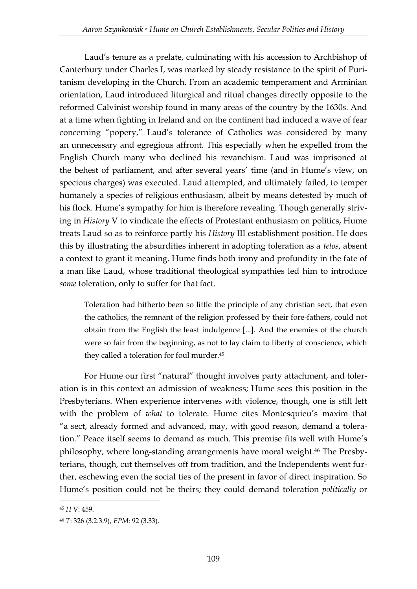Laud's tenure as a prelate, culminating with his accession to Archbishop of Canterbury under Charles I, was marked by steady resistance to the spirit of Puritanism developing in the Church. From an academic temperament and Arminian orientation, Laud introduced liturgical and ritual changes directly opposite to the reformed Calvinist worship found in many areas of the country by the 1630s. And at a time when fighting in Ireland and on the continent had induced a wave of fear concerning "popery," Laud's tolerance of Catholics was considered by many an unnecessary and egregious affront. This especially when he expelled from the English Church many who declined his revanchism. Laud was imprisoned at the behest of parliament, and after several years' time (and in Hume's view, on specious charges) was executed. Laud attempted, and ultimately failed, to temper humanely a species of religious enthusiasm, albeit by means detested by much of his flock. Hume's sympathy for him is therefore revealing. Though generally striving in *History* V to vindicate the effects of Protestant enthusiasm on politics, Hume treats Laud so as to reinforce partly his *History* III establishment position. He does this by illustrating the absurdities inherent in adopting toleration as a *telos*, absent a context to grant it meaning. Hume finds both irony and profundity in the fate of a man like Laud, whose traditional theological sympathies led him to introduce *some* toleration, only to suffer for that fact.

Toleration had hitherto been so little the principle of any christian sect, that even the catholics, the remnant of the religion professed by their fore-fathers, could not obtain from the English the least indulgence [...]. And the enemies of the church were so fair from the beginning, as not to lay claim to liberty of conscience, which they called a toleration for foul murder.<sup>45</sup>

For Hume our first "natural" thought involves party attachment, and toleration is in this context an admission of weakness; Hume sees this position in the Presbyterians. When experience intervenes with violence, though, one is still left with the problem of *what* to tolerate. Hume cites Montesquieu's maxim that "a sect, already formed and advanced, may, with good reason, demand a toleration." Peace itself seems to demand as much. This premise fits well with Hume's philosophy, where long-standing arrangements have moral weight. <sup>46</sup> The Presbyterians, though, cut themselves off from tradition, and the Independents went further, eschewing even the social ties of the present in favor of direct inspiration. So Hume's position could not be theirs; they could demand toleration *politically* or

<sup>45</sup> *H* V: 459.

<sup>46</sup> *T*: 326 (3.2.3.9), *EPM*: 92 (3.33).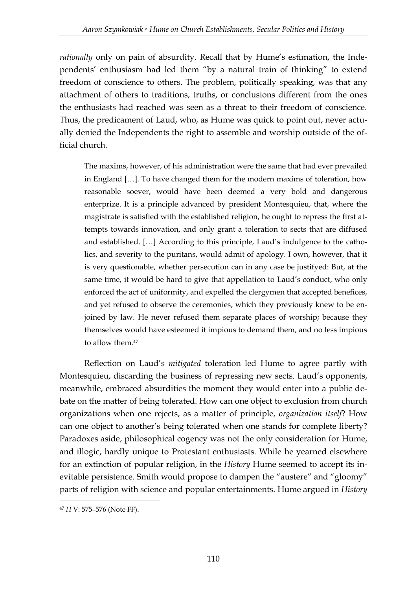*rationally* only on pain of absurdity. Recall that by Hume's estimation, the Independents' enthusiasm had led them "by a natural train of thinking" to extend freedom of conscience to others. The problem, politically speaking, was that any attachment of others to traditions, truths, or conclusions different from the ones the enthusiasts had reached was seen as a threat to their freedom of conscience. Thus, the predicament of Laud, who, as Hume was quick to point out, never actually denied the Independents the right to assemble and worship outside of the official church.

The maxims, however, of his administration were the same that had ever prevailed in England […]. To have changed them for the modern maxims of toleration, how reasonable soever, would have been deemed a very bold and dangerous enterprize. It is a principle advanced by president Montesquieu, that, where the magistrate is satisfied with the established religion, he ought to repress the first attempts towards innovation, and only grant a toleration to sects that are diffused and established. […] According to this principle, Laud's indulgence to the catholics, and severity to the puritans, would admit of apology. I own, however, that it is very questionable, whether persecution can in any case be justifyed: But, at the same time, it would be hard to give that appellation to Laud's conduct, who only enforced the act of uniformity, and expelled the clergymen that accepted benefices, and yet refused to observe the ceremonies, which they previously knew to be enjoined by law. He never refused them separate places of worship; because they themselves would have esteemed it impious to demand them, and no less impious to allow them.<sup>47</sup>

Reflection on Laud's *mitigated* toleration led Hume to agree partly with Montesquieu, discarding the business of repressing new sects. Laud's opponents, meanwhile, embraced absurdities the moment they would enter into a public debate on the matter of being tolerated. How can one object to exclusion from church organizations when one rejects, as a matter of principle, *organization itself*? How can one object to another's being tolerated when one stands for complete liberty? Paradoxes aside, philosophical cogency was not the only consideration for Hume, and illogic, hardly unique to Protestant enthusiasts. While he yearned elsewhere for an extinction of popular religion, in the *History* Hume seemed to accept its inevitable persistence. Smith would propose to dampen the "austere" and "gloomy" parts of religion with science and popular entertainments. Hume argued in *History*

<sup>-</sup><sup>47</sup> *H* V: 575–576 (Note FF).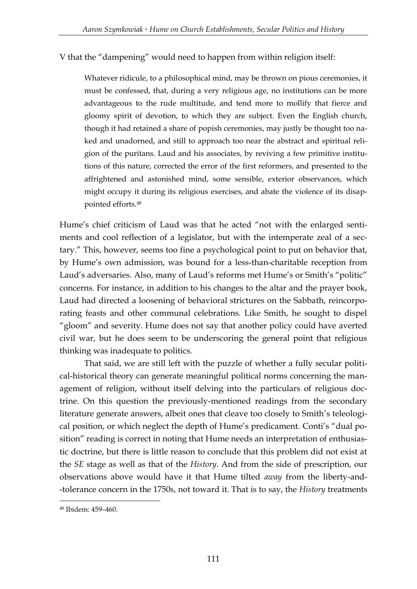### V that the "dampening" would need to happen from within religion itself:

Whatever ridicule, to a philosophical mind, may be thrown on pious ceremonies, it must be confessed, that, during a very religious age, no institutions can be more advantageous to the rude multitude, and tend more to mollify that fierce and gloomy spirit of devotion, to which they are subject. Even the English church, though it had retained a share of popish ceremonies, may justly be thought too naked and unadorned, and still to approach too near the abstract and spiritual religion of the puritans. Laud and his associates, by reviving a few primitive institutions of this nature, corrected the error of the first reformers, and presented to the affrightened and astonished mind, some sensible, exterior observances, which might occupy it during its religious exercises, and abate the violence of its disappointed efforts.<sup>48</sup>

Hume's chief criticism of Laud was that he acted "not with the enlarged sentiments and cool reflection of a legislator, but with the intemperate zeal of a sectary." This, however, seems too fine a psychological point to put on behavior that, by Hume's own admission, was bound for a less-than-charitable reception from Laud's adversaries. Also, many of Laud's reforms met Hume's or Smith's "politic" concerns. For instance, in addition to his changes to the altar and the prayer book, Laud had directed a loosening of behavioral strictures on the Sabbath, reincorporating feasts and other communal celebrations. Like Smith, he sought to dispel "gloom" and severity. Hume does not say that another policy could have averted civil war, but he does seem to be underscoring the general point that religious thinking was inadequate to politics.

That said, we are still left with the puzzle of whether a fully secular political-historical theory can generate meaningful political norms concerning the management of religion, without itself delving into the particulars of religious doctrine. On this question the previously-mentioned readings from the secondary literature generate answers, albeit ones that cleave too closely to Smith's teleological position, or which neglect the depth of Hume's predicament. Conti's "dual position" reading is correct in noting that Hume needs an interpretation of enthusiastic doctrine, but there is little reason to conclude that this problem did not exist at the *SE* stage as well as that of the *History*. And from the side of prescription, our observations above would have it that Hume tilted *away* from the liberty-and- -tolerance concern in the 1750s, not toward it. That is to say, the *History* treatments

<sup>48</sup> Ibidem: 459–460.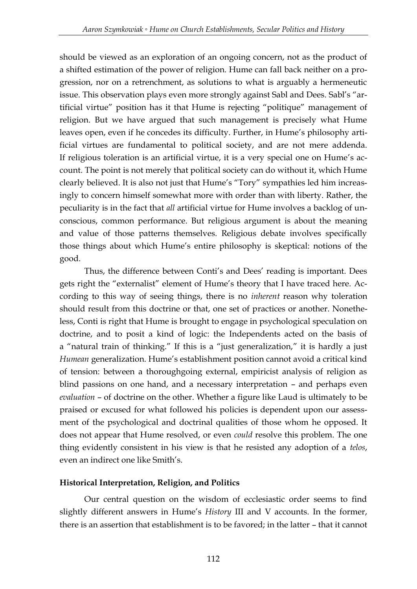should be viewed as an exploration of an ongoing concern, not as the product of a shifted estimation of the power of religion. Hume can fall back neither on a progression, nor on a retrenchment, as solutions to what is arguably a hermeneutic issue. This observation plays even more strongly against Sabl and Dees. Sabl's "artificial virtue" position has it that Hume is rejecting "politique" management of religion. But we have argued that such management is precisely what Hume leaves open, even if he concedes its difficulty. Further, in Hume's philosophy artificial virtues are fundamental to political society, and are not mere addenda. If religious toleration is an artificial virtue, it is a very special one on Hume's account. The point is not merely that political society can do without it, which Hume clearly believed. It is also not just that Hume's "Tory" sympathies led him increasingly to concern himself somewhat more with order than with liberty. Rather, the peculiarity is in the fact that *all* artificial virtue for Hume involves a backlog of unconscious, common performance. But religious argument is about the meaning and value of those patterns themselves. Religious debate involves specifically those things about which Hume's entire philosophy is skeptical: notions of the good.

Thus, the difference between Conti's and Dees' reading is important. Dees gets right the "externalist" element of Hume's theory that I have traced here. According to this way of seeing things, there is no *inherent* reason why toleration should result from this doctrine or that, one set of practices or another. Nonetheless, Conti is right that Hume is brought to engage in psychological speculation on doctrine, and to posit a kind of logic: the Independents acted on the basis of a "natural train of thinking." If this is a "just generalization," it is hardly a just *Humean* generalization. Hume's establishment position cannot avoid a critical kind of tension: between a thoroughgoing external, empiricist analysis of religion as blind passions on one hand, and a necessary interpretation – and perhaps even *evaluation* – of doctrine on the other. Whether a figure like Laud is ultimately to be praised or excused for what followed his policies is dependent upon our assessment of the psychological and doctrinal qualities of those whom he opposed. It does not appear that Hume resolved, or even *could* resolve this problem. The one thing evidently consistent in his view is that he resisted any adoption of a *telos*, even an indirect one like Smith's.

## **Historical Interpretation, Religion, and Politics**

Our central question on the wisdom of ecclesiastic order seems to find slightly different answers in Hume's *History* III and V accounts. In the former, there is an assertion that establishment is to be favored; in the latter – that it cannot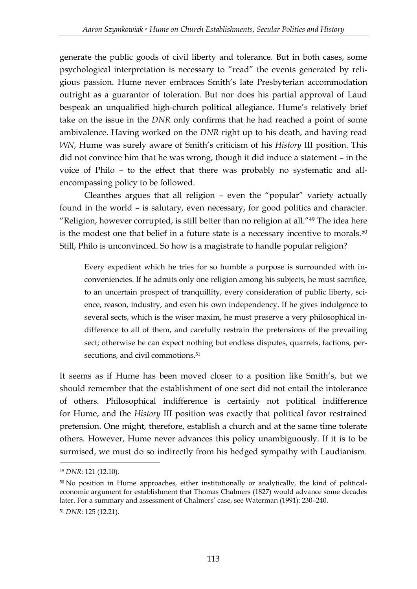generate the public goods of civil liberty and tolerance. But in both cases, some psychological interpretation is necessary to "read" the events generated by religious passion. Hume never embraces Smith's late Presbyterian accommodation outright as a guarantor of toleration. But nor does his partial approval of Laud bespeak an unqualified high-church political allegiance. Hume's relatively brief take on the issue in the *DNR* only confirms that he had reached a point of some ambivalence. Having worked on the *DNR* right up to his death, and having read *WN*, Hume was surely aware of Smith's criticism of his *History* III position. This did not convince him that he was wrong, though it did induce a statement – in the voice of Philo – to the effect that there was probably no systematic and allencompassing policy to be followed.

Cleanthes argues that all religion – even the "popular" variety actually found in the world – is salutary, even necessary, for good politics and character. "Religion, however corrupted, is still better than no religion at all."<sup>49</sup> The idea here is the modest one that belief in a future state is a necessary incentive to morals.<sup>50</sup> Still, Philo is unconvinced. So how is a magistrate to handle popular religion?

Every expedient which he tries for so humble a purpose is surrounded with inconveniencies. If he admits only one religion among his subjects, he must sacrifice, to an uncertain prospect of tranquillity, every consideration of public liberty, science, reason, industry, and even his own independency. If he gives indulgence to several sects, which is the wiser maxim, he must preserve a very philosophical indifference to all of them, and carefully restrain the pretensions of the prevailing sect; otherwise he can expect nothing but endless disputes, quarrels, factions, persecutions, and civil commotions.<sup>51</sup>

It seems as if Hume has been moved closer to a position like Smith's, but we should remember that the establishment of one sect did not entail the intolerance of others. Philosophical indifference is certainly not political indifference for Hume, and the *History* III position was exactly that political favor restrained pretension. One might, therefore, establish a church and at the same time tolerate others. However, Hume never advances this policy unambiguously. If it is to be surmised, we must do so indirectly from his hedged sympathy with Laudianism.

<sup>49</sup> *DNR*: 121 (12.10).

<sup>50</sup> No position in Hume approaches, either institutionally or analytically, the kind of politicaleconomic argument for establishment that Thomas Chalmers (1827) would advance some decades later. For a summary and assessment of Chalmers' case, see Waterman (1991): 230–240. <sup>51</sup> *DNR*: 125 (12.21).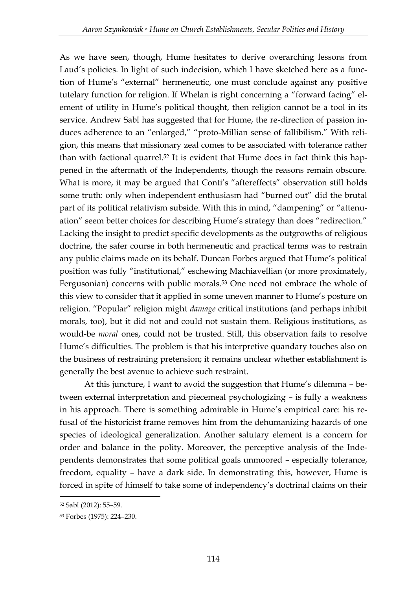As we have seen, though, Hume hesitates to derive overarching lessons from Laud's policies. In light of such indecision, which I have sketched here as a function of Hume's "external" hermeneutic, one must conclude against any positive tutelary function for religion. If Whelan is right concerning a "forward facing" element of utility in Hume's political thought, then religion cannot be a tool in its service. Andrew Sabl has suggested that for Hume, the re-direction of passion induces adherence to an "enlarged," "proto-Millian sense of fallibilism." With religion, this means that missionary zeal comes to be associated with tolerance rather than with factional quarrel.<sup>52</sup> It is evident that Hume does in fact think this happened in the aftermath of the Independents, though the reasons remain obscure. What is more, it may be argued that Conti's "aftereffects" observation still holds some truth: only when independent enthusiasm had "burned out" did the brutal part of its political relativism subside. With this in mind, "dampening" or "attenuation" seem better choices for describing Hume's strategy than does "redirection." Lacking the insight to predict specific developments as the outgrowths of religious doctrine, the safer course in both hermeneutic and practical terms was to restrain any public claims made on its behalf. Duncan Forbes argued that Hume's political position was fully "institutional," eschewing Machiavellian (or more proximately, Fergusonian) concerns with public morals.<sup>53</sup> One need not embrace the whole of this view to consider that it applied in some uneven manner to Hume's posture on religion. "Popular" religion might *damage* critical institutions (and perhaps inhibit morals, too), but it did not and could not sustain them. Religious institutions, as would-be *moral* ones, could not be trusted. Still, this observation fails to resolve Hume's difficulties. The problem is that his interpretive quandary touches also on the business of restraining pretension; it remains unclear whether establishment is generally the best avenue to achieve such restraint.

At this juncture, I want to avoid the suggestion that Hume's dilemma – between external interpretation and piecemeal psychologizing – is fully a weakness in his approach. There is something admirable in Hume's empirical care: his refusal of the historicist frame removes him from the dehumanizing hazards of one species of ideological generalization. Another salutary element is a concern for order and balance in the polity. Moreover, the perceptive analysis of the Independents demonstrates that some political goals unmoored – especially tolerance, freedom, equality – have a dark side. In demonstrating this, however, Hume is forced in spite of himself to take some of independency's doctrinal claims on their

<sup>-</sup><sup>52</sup> Sabl (2012): 55–59.

<sup>53</sup> Forbes (1975): 224–230.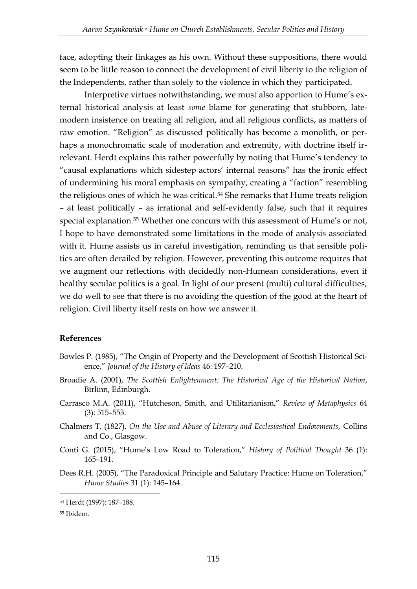face, adopting their linkages as his own. Without these suppositions, there would seem to be little reason to connect the development of civil liberty to the religion of the Independents, rather than solely to the violence in which they participated.

Interpretive virtues notwithstanding, we must also apportion to Hume's external historical analysis at least *some* blame for generating that stubborn, latemodern insistence on treating all religion, and all religious conflicts, as matters of raw emotion. "Religion" as discussed politically has become a monolith, or perhaps a monochromatic scale of moderation and extremity, with doctrine itself irrelevant. Herdt explains this rather powerfully by noting that Hume's tendency to "causal explanations which sidestep actors' internal reasons" has the ironic effect of undermining his moral emphasis on sympathy, creating a "faction" resembling the religious ones of which he was critical.<sup>54</sup> She remarks that Hume treats religion – at least politically – as irrational and self-evidently false, such that it requires special explanation.<sup>55</sup> Whether one concurs with this assessment of Hume's or not, I hope to have demonstrated some limitations in the mode of analysis associated with it. Hume assists us in careful investigation, reminding us that sensible politics are often derailed by religion. However, preventing this outcome requires that we augment our reflections with decidedly non-Humean considerations, even if healthy secular politics is a goal. In light of our present (multi) cultural difficulties, we do well to see that there is no avoiding the question of the good at the heart of religion. Civil liberty itself rests on how we answer it.

### **References**

- Bowles P. (1985), "The Origin of Property and the Development of Scottish Historical Science," *Journal of the History of Ideas* 46: 197–210.
- Broadie A. (2001), *The Scottish Enlightenment: The Historical Age of the Historical Nation*, Birlinn, Edinburgh.
- Carrasco M.A. (2011), "Hutcheson, Smith, and Utilitarianism," *Review of Metaphysics* 64 (3): 515–553.
- Chalmers T. (1827), *On the Use and Abuse of Literary and Ecclesiastical Endowments,* Collins and Co., Glasgow.
- Conti G. (2015), "Hume's Low Road to Toleration," *History of Political Thought* 36 (1): 165–191.
- Dees R.H. (2005), "The Paradoxical Principle and Salutary Practice: Hume on Toleration," *Hume Studies* 31 (1): 145–164.

<u>.</u>

<sup>54</sup> Herdt (1997): 187–188.

<sup>55</sup> Ibidem.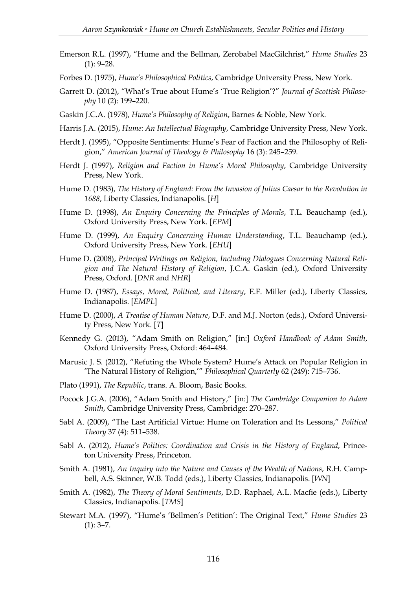- Emerson R.L. (1997), "Hume and the Bellman, Zerobabel MacGilchrist," *Hume Studies* 23  $(1): 9-28.$
- Forbes D. (1975), *Hume's Philosophical Politics*, Cambridge University Press, New York.
- Garrett D. (2012), "What's True about Hume's 'True Religion'?" *Journal of Scottish Philosophy* 10 (2): 199–220.
- Gaskin J.C.A. (1978), *Hume's Philosophy of Religion*, Barnes & Noble, New York.
- Harris J.A. (2015), *Hume: An Intellectual Biography*, Cambridge University Press, New York.
- Herdt J. (1995), "Opposite Sentiments: Hume's Fear of Faction and the Philosophy of Religion," *American Journal of Theology & Philosophy* 16 (3): 245–259.
- Herdt J. (1997), *Religion and Faction in Hume's Moral Philosophy*, Cambridge University Press, New York.
- Hume D. (1983), *The History of England: From the Invasion of Julius Caesar to the Revolution in 1688*, Liberty Classics, Indianapolis. [*H*]
- Hume D. (1998), *An Enquiry Concerning the Principles of Morals*, T.L. Beauchamp (ed.), Oxford University Press, New York. [*EPM*]
- Hume D. (1999), *An Enquiry Concerning Human Understanding*, T.L. Beauchamp (ed.), Oxford University Press, New York. [*EHU*]
- Hume D. (2008), *Principal Writings on Religion, Including Dialogues Concerning Natural Religion and The Natural History of Religion*, J.C.A. Gaskin (ed.), Oxford University Press, Oxford. [*DNR* and *NHR*]
- Hume D. (1987), *Essays, Moral, Political, and Literary*, E.F. Miller (ed.), Liberty Classics, Indianapolis. [*EMPL*]
- Hume D. (2000), *A Treatise of Human Nature*, D.F. and M.J. Norton (eds.), Oxford University Press, New York. [*T*]
- Kennedy G. (2013), "Adam Smith on Religion," [in:] *Oxford Handbook of Adam Smith*, Oxford University Press, Oxford: 464–484.
- Marusic J. S. (2012), "Refuting the Whole System? Hume's Attack on Popular Religion in 'The Natural History of Religion,'" *Philosophical Quarterly* 62 (249): 715–736.
- Plato (1991), *The Republic*, trans. A. Bloom, Basic Books.
- Pocock J.G.A. (2006), "Adam Smith and History," [in:] *The Cambridge Companion to Adam Smith*, Cambridge University Press, Cambridge: 270–287.
- Sabl A. (2009), "The Last Artificial Virtue: Hume on Toleration and Its Lessons," *Political Theory* 37 (4): 511–538.
- Sabl A. (2012), *Hume's Politics: Coordination and Crisis in the History of England*, Princeton University Press, Princeton.
- Smith A. (1981), *An Inquiry into the Nature and Causes of the Wealth of Nations*, R.H. Campbell, A.S. Skinner, W.B. Todd (eds.), Liberty Classics, Indianapolis. [*WN*]
- Smith A. (1982), *The Theory of Moral Sentiments*, D.D. Raphael, A.L. Macfie (eds.), Liberty Classics, Indianapolis. [*TMS*]
- Stewart M.A. (1997), "Hume's 'Bellmen's Petition': The Original Text," *Hume Studies* 23  $(1): 3-7.$